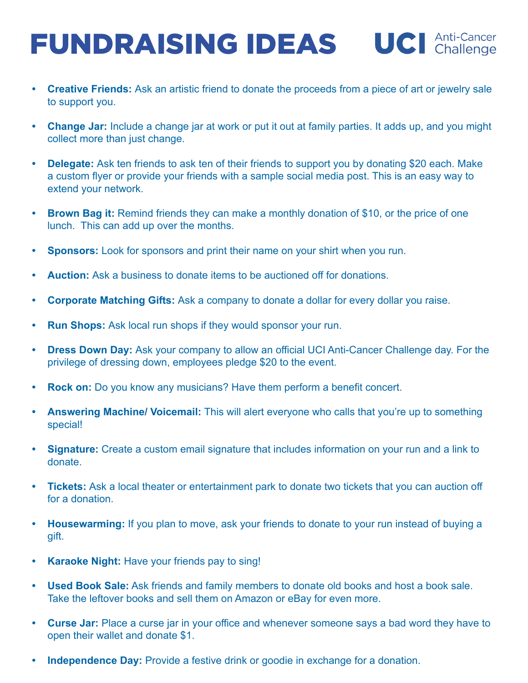- **• Creative Friends:** Ask an artistic friend to donate the proceeds from a piece of art or jewelry sale to support you.
- **• Change Jar:** Include a change jar at work or put it out at family parties. It adds up, and you might collect more than just change.
- **• Delegate:** Ask ten friends to ask ten of their friends to support you by donating \$20 each. Make a custom flyer or provide your friends with a sample social media post. This is an easy way to extend your network.
- **• Brown Bag it:** Remind friends they can make a monthly donation of \$10, or the price of one lunch. This can add up over the months.
- **• Sponsors:** Look for sponsors and print their name on your shirt when you run.
- **• Auction:** Ask a business to donate items to be auctioned off for donations.
- **• Corporate Matching Gifts:** Ask a company to donate a dollar for every dollar you raise.
- **• Run Shops:** Ask local run shops if they would sponsor your run.
- **• Dress Down Day:** Ask your company to allow an official UCI Anti-Cancer Challenge day. For the privilege of dressing down, employees pledge \$20 to the event.
- **• Rock on:** Do you know any musicians? Have them perform a benefit concert.
- **• Answering Machine/ Voicemail:** This will alert everyone who calls that you're up to something special!
- **• Signature:** Create a custom email signature that includes information on your run and a link to donate.
- **• Tickets:** Ask a local theater or entertainment park to donate two tickets that you can auction off for a donation.
- **• Housewarming:** If you plan to move, ask your friends to donate to your run instead of buying a gift.
- **• Karaoke Night:** Have your friends pay to sing!
- **• Used Book Sale:** Ask friends and family members to donate old books and host a book sale. Take the leftover books and sell them on Amazon or eBay for even more.
- **• Curse Jar:** Place a curse jar in your office and whenever someone says a bad word they have to open their wallet and donate \$1.
- **• Independence Day:** Provide a festive drink or goodie in exchange for a donation.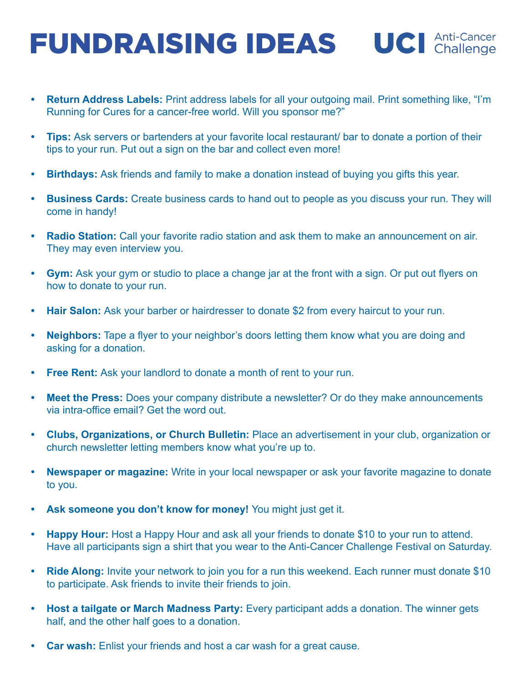- **• Return Address Labels:** Print address labels for all your outgoing mail. Print something like, "I'm Running for Cures for a cancer-free world. Will you sponsor me?"
- **• Tips:** Ask servers or bartenders at your favorite local restaurant/ bar to donate a portion of their tips to your run. Put out a sign on the bar and collect even more!
- **• Birthdays:** Ask friends and family to make a donation instead of buying you gifts this year.
- **• Business Cards:** Create business cards to hand out to people as you discuss your run. They will come in handy!
- **• Radio Station:** Call your favorite radio station and ask them to make an announcement on air. They may even interview you.
- **• Gym:** Ask your gym or studio to place a change jar at the front with a sign. Or put out flyers on how to donate to your run.
- **Hair Salon:** Ask your barber or hairdresser to donate \$2 from every haircut to your run.
- **• Neighbors:** Tape a flyer to your neighbor's doors letting them know what you are doing and asking for a donation.
- **• Free Rent:** Ask your landlord to donate a month of rent to your run.
- **• Meet the Press:** Does your company distribute a newsletter? Or do they make announcements via intra-office email? Get the word out.
- **• Clubs, Organizations, or Church Bulletin:** Place an advertisement in your club, organization or church newsletter letting members know what you're up to.
- **• Newspaper or magazine:** Write in your local newspaper or ask your favorite magazine to donate to you.
- **Ask someone you don't know for money!** You might just get it.
- **Happy Hour:** Host a Happy Hour and ask all your friends to donate \$10 to your run to attend. Have all participants sign a shirt that you wear to the Anti-Cancer Challenge Festival on Saturday.
- **• Ride Along:** Invite your network to join you for a run this weekend. Each runner must donate \$10 to participate. Ask friends to invite their friends to join.
- **• Host a tailgate or March Madness Party:** Every participant adds a donation. The winner gets half, and the other half goes to a donation.
- **• Car wash:** Enlist your friends and host a car wash for a great cause.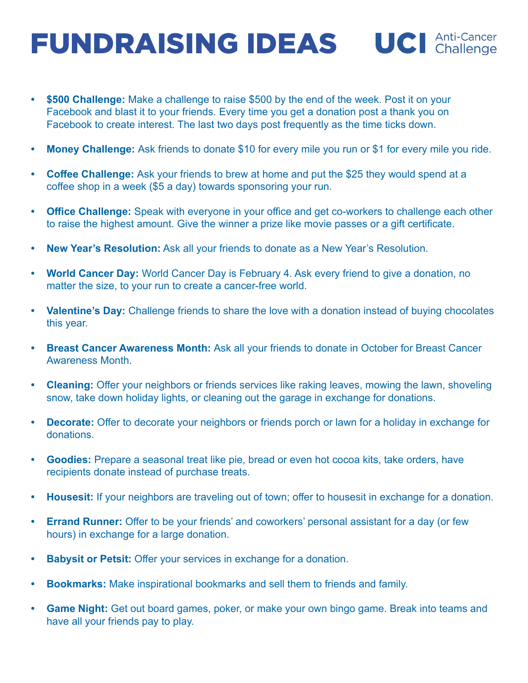- **• \$500 Challenge:** Make a challenge to raise \$500 by the end of the week. Post it on your Facebook and blast it to your friends. Every time you get a donation post a thank you on Facebook to create interest. The last two days post frequently as the time ticks down.
- **• Money Challenge:** Ask friends to donate \$10 for every mile you run or \$1 for every mile you ride.
- **• Coffee Challenge:** Ask your friends to brew at home and put the \$25 they would spend at a coffee shop in a week (\$5 a day) towards sponsoring your run.
- **• Office Challenge:** Speak with everyone in your office and get co-workers to challenge each other to raise the highest amount. Give the winner a prize like movie passes or a gift certificate.
- **• New Year's Resolution:** Ask all your friends to donate as a New Year's Resolution.
- **• World Cancer Day:** World Cancer Day is February 4. Ask every friend to give a donation, no matter the size, to your run to create a cancer-free world.
- **• Valentine's Day:** Challenge friends to share the love with a donation instead of buying chocolates this year.
- **• Breast Cancer Awareness Month:** Ask all your friends to donate in October for Breast Cancer Awareness Month.
- **• Cleaning:** Offer your neighbors or friends services like raking leaves, mowing the lawn, shoveling snow, take down holiday lights, or cleaning out the garage in exchange for donations.
- **• Decorate:** Offer to decorate your neighbors or friends porch or lawn for a holiday in exchange for donations.
- **• Goodies:** Prepare a seasonal treat like pie, bread or even hot cocoa kits, take orders, have recipients donate instead of purchase treats.
- **• Housesit:** If your neighbors are traveling out of town; offer to housesit in exchange for a donation.
- **• Errand Runner:** Offer to be your friends' and coworkers' personal assistant for a day (or few hours) in exchange for a large donation.
- **• Babysit or Petsit:** Offer your services in exchange for a donation.
- **• Bookmarks:** Make inspirational bookmarks and sell them to friends and family.
- **• Game Night:** Get out board games, poker, or make your own bingo game. Break into teams and have all your friends pay to play.